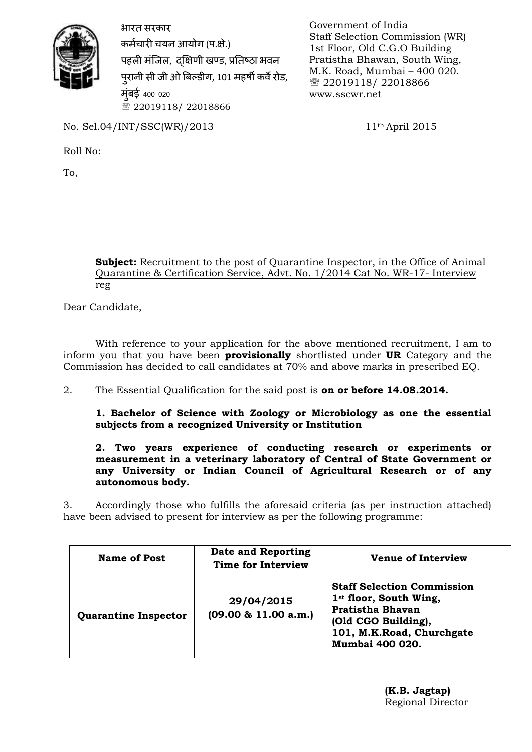

भारत सरकार कर्मचारी चयन आयोग (प.क्षे.) पहली मंजिल, दक्षिणी खण्ड, प्रतिष्ठा भवन पुरानी सी जी ओ बिल्डीग, 101 महर्षी कर्वे रोड, मंबई 400 020 ■ 22019118/ 22018866

Government of India Staff Selection Commission (WR) 1st Floor, Old C.G.O Building Pratistha Bhawan, South Wing, M.K. Road, Mumbai – 400 020. ■ 22019118/ 22018866 www.sscwr.net

No. Sel.04/INT/SSC(WR)/2013 11th April 2015

Roll No:

To,

### **Subject:** Recruitment to the post of Quarantine Inspector, in the Office of Animal Quarantine & Certification Service, Advt. No. 1/2014 Cat No. WR-17- Interview reg

Dear Candidate,

With reference to your application for the above mentioned recruitment, I am to inform you that you have been **provisionally** shortlisted under **UR** Category and the Commission has decided to call candidates at 70% and above marks in prescribed EQ.

2. The Essential Qualification for the said post is **on or before 14.08.2014.** 

**1. Bachelor of Science with Zoology or Microbiology as one the essential subjects from a recognized University or Institution**

### **2. Two years experience of conducting research or experiments or measurement in a veterinary laboratory of Central of State Government or any University or Indian Council of Agricultural Research or of any autonomous body.**

3. Accordingly those who fulfills the aforesaid criteria (as per instruction attached) have been advised to present for interview as per the following programme:

| Name of Post                | Date and Reporting<br><b>Time for Interview</b> | <b>Venue of Interview</b>                                                                                                                                                 |
|-----------------------------|-------------------------------------------------|---------------------------------------------------------------------------------------------------------------------------------------------------------------------------|
| <b>Quarantine Inspector</b> | 29/04/2015<br>$(09.00 \& 11.00 a.m.)$           | <b>Staff Selection Commission</b><br>1 <sup>st</sup> floor, South Wing,<br><b>Pratistha Bhavan</b><br>(Old CGO Building),<br>101, M.K.Road, Churchgate<br>Mumbai 400 020. |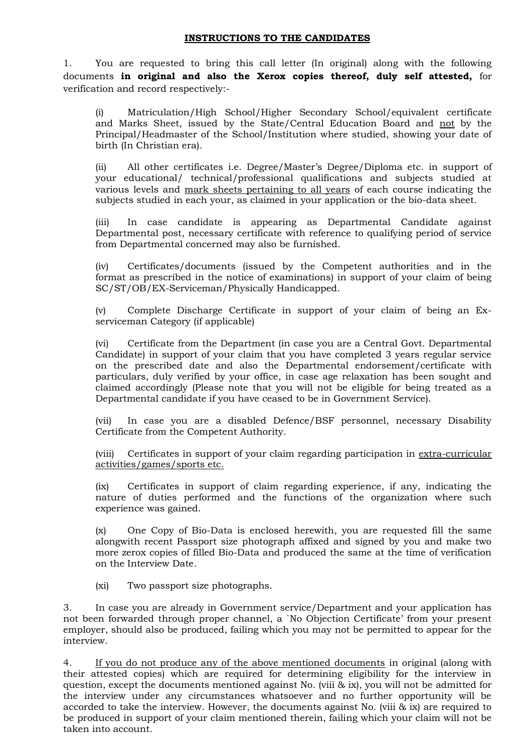#### **INSTRUCTIONS TO THE CANDIDATES**

1. You are requested to bring this call letter (In original) along with the following documents **in original and also the Xerox copies thereof, duly self attested,** for verification and record respectively:-

(i) Matriculation/High School/Higher Secondary School/equivalent certificate and Marks Sheet, issued by the State/Central Education Board and not by the Principal/Headmaster of the School/Institution where studied, showing your date of birth (In Christian era).

(ii) All other certificates i.e. Degree/Master's Degree/Diploma etc. in support of your educational/ technical/professional qualifications and subjects studied at various levels and mark sheets pertaining to all years of each course indicating the subjects studied in each your, as claimed in your application or the bio-data sheet.

(iii) In case candidate is appearing as Departmental Candidate against Departmental post, necessary certificate with reference to qualifying period of service from Departmental concerned may also be furnished.

(iv) Certificates/documents (issued by the Competent authorities and in the format as prescribed in the notice of examinations) in support of your claim of being SC/ST/OB/EX-Serviceman/Physically Handicapped.

(v) Complete Discharge Certificate in support of your claim of being an Exserviceman Category (if applicable)

(vi) Certificate from the Department (in case you are a Central Govt. Departmental Candidate) in support of your claim that you have completed 3 years regular service on the prescribed date and also the Departmental endorsement/certificate with particulars, duly verified by your office, in case age relaxation has been sought and claimed accordingly (Please note that you will not be eligible for being treated as a Departmental candidate if you have ceased to be in Government Service).

(vii) In case you are a disabled Defence/BSF personnel, necessary Disability Certificate from the Competent Authority.

(viii) Certificates in support of your claim regarding participation in extra-curricular activities/games/sports etc.

(ix) Certificates in support of claim regarding experience, if any, indicating the nature of duties performed and the functions of the organization where such experience was gained.

(x) One Copy of Bio-Data is enclosed herewith, you are requested fill the same alongwith recent Passport size photograph affixed and signed by you and make two more zerox copies of filled Bio-Data and produced the same at the time of verification on the Interview Date.

(xi) Two passport size photographs.

3. In case you are already in Government service/Department and your application has not been forwarded through proper channel, a `No Objection Certificate' from your present employer, should also be produced, failing which you may not be permitted to appear for the interview.

4. If you do not produce any of the above mentioned documents in original (along with their attested copies) which are required for determining eligibility for the interview in question, except the documents mentioned against No. (viii & ix), you will not be admitted for the interview under any circumstances whatsoever and no further opportunity will be accorded to take the interview. However, the documents against No. (viii & ix) are required to be produced in support of your claim mentioned therein, failing which your claim will not be taken into account.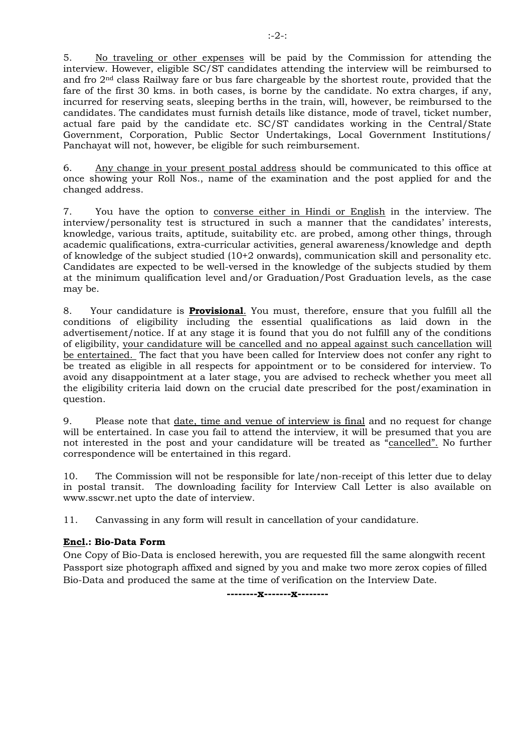5. No traveling or other expenses will be paid by the Commission for attending the interview. However, eligible SC/ST candidates attending the interview will be reimbursed to and fro 2nd class Railway fare or bus fare chargeable by the shortest route, provided that the fare of the first 30 kms. in both cases, is borne by the candidate. No extra charges, if any, incurred for reserving seats, sleeping berths in the train, will, however, be reimbursed to the candidates. The candidates must furnish details like distance, mode of travel, ticket number, actual fare paid by the candidate etc. SC/ST candidates working in the Central/State Government, Corporation, Public Sector Undertakings, Local Government Institutions/ Panchayat will not, however, be eligible for such reimbursement.

6. Any change in your present postal address should be communicated to this office at once showing your Roll Nos., name of the examination and the post applied for and the changed address.

7. You have the option to converse either in Hindi or English in the interview. The interview/personality test is structured in such a manner that the candidates' interests, knowledge, various traits, aptitude, suitability etc. are probed, among other things, through academic qualifications, extra-curricular activities, general awareness/knowledge and depth of knowledge of the subject studied (10+2 onwards), communication skill and personality etc. Candidates are expected to be well-versed in the knowledge of the subjects studied by them at the minimum qualification level and/or Graduation/Post Graduation levels, as the case may be.

8. Your candidature is **Provisional**. You must, therefore, ensure that you fulfill all the conditions of eligibility including the essential qualifications as laid down in the advertisement/notice. If at any stage it is found that you do not fulfill any of the conditions of eligibility, your candidature will be cancelled and no appeal against such cancellation will be entertained. The fact that you have been called for Interview does not confer any right to be treated as eligible in all respects for appointment or to be considered for interview. To avoid any disappointment at a later stage, you are advised to recheck whether you meet all the eligibility criteria laid down on the crucial date prescribed for the post/examination in question.

9. Please note that date, time and venue of interview is final and no request for change will be entertained. In case you fail to attend the interview, it will be presumed that you are not interested in the post and your candidature will be treated as "cancelled". No further correspondence will be entertained in this regard.

10. The Commission will not be responsible for late/non-receipt of this letter due to delay in postal transit. The downloading facility for Interview Call Letter is also available on www.sscwr.net upto the date of interview.

11. Canvassing in any form will result in cancellation of your candidature.

#### **Encl.: Bio-Data Form**

One Copy of Bio-Data is enclosed herewith, you are requested fill the same alongwith recent Passport size photograph affixed and signed by you and make two more zerox copies of filled Bio-Data and produced the same at the time of verification on the Interview Date.

**--------x-------x--------**